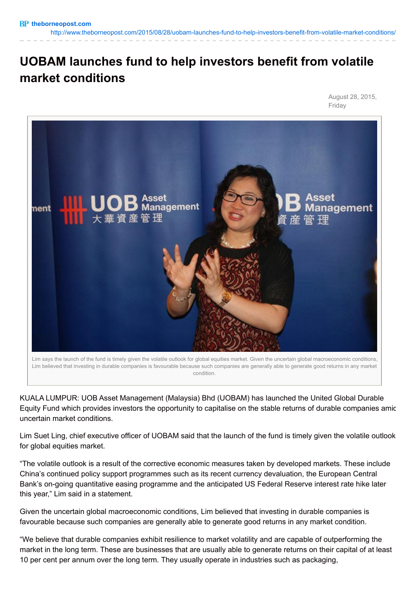<http://www.theborneopost.com/2015/08/28/uobam-launches-fund-to-help-investors-benefit-from-volatile-market-conditions/>

## **UOBAM launches fund to help investors benefit from volatile market conditions**

August 28, 2015, Friday



Lim says the launch of the fund is timely given the volatile outlook for global equities market. Given the uncertain global macroeconomic conditions, Lim believed that investing in durable companies is favourable because such companies are generally able to generate good returns in any market condition.

KUALA LUMPUR: UOB Asset Management (Malaysia) Bhd (UOBAM) has launched the United Global Durable Equity Fund which provides investors the opportunity to capitalise on the stable returns of durable companies amid uncertain market conditions.

Lim Suet Ling, chief executive officer of UOBAM said that the launch of the fund is timely given the volatile outlook for global equities market.

"The volatile outlook is a result of the corrective economic measures taken by developed markets. These include China's continued policy support programmes such as its recent currency devaluation, the European Central Bank's on-going quantitative easing programme and the anticipated US Federal Reserve interest rate hike later this year," Lim said in a statement.

Given the uncertain global macroeconomic conditions, Lim believed that investing in durable companies is favourable because such companies are generally able to generate good returns in any market condition.

"We believe that durable companies exhibit resilience to market volatility and are capable of outperforming the market in the long term. These are businesses that are usually able to generate returns on their capital of at least 10 per cent per annum over the long term. They usually operate in industries such as packaging,